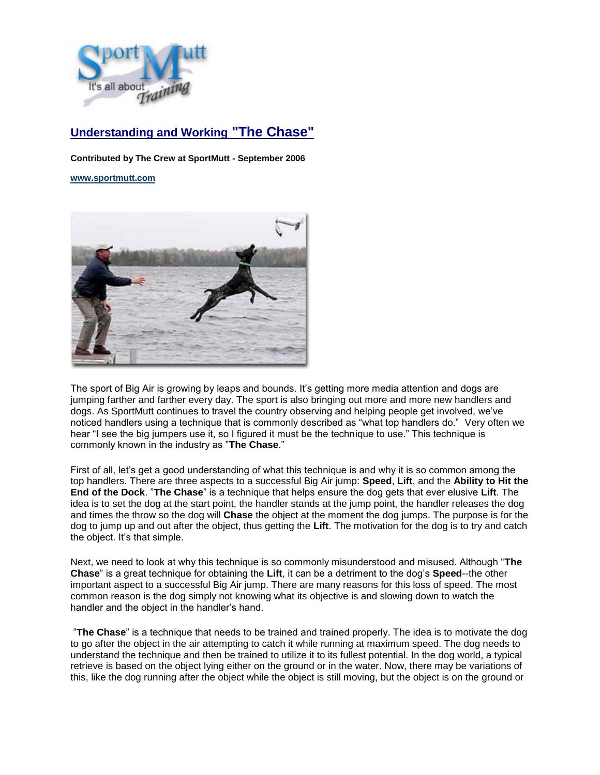

## **Understanding and Working "The Chase"**

**Contributed by The Crew at SportMutt - September 2006**

## **[www.sportmutt.com](file:///C:/Users/Brenda/Documents/My%20Webs/4petswithstyle/sportmutt/index.htm)**



The sport of Big Air is growing by leaps and bounds. It's getting more media attention and dogs are jumping farther and farther every day. The sport is also bringing out more and more new handlers and dogs. As SportMutt continues to travel the country observing and helping people get involved, we've noticed handlers using a technique that is commonly described as "what top handlers do." Very often we hear "I see the big jumpers use it, so I figured it must be the technique to use." This technique is commonly known in the industry as "**The Chase**."

First of all, let's get a good understanding of what this technique is and why it is so common among the top handlers. There are three aspects to a successful Big Air jump: **Speed**, **Lift**, and the **Ability to Hit the End of the Dock**. "**The Chase**" is a technique that helps ensure the dog gets that ever elusive **Lift**. The idea is to set the dog at the start point, the handler stands at the jump point, the handler releases the dog and times the throw so the dog will **Chase** the object at the moment the dog jumps. The purpose is for the dog to jump up and out after the object, thus getting the **Lift**. The motivation for the dog is to try and catch the object. It's that simple.

Next, we need to look at why this technique is so commonly misunderstood and misused. Although "**The Chase**" is a great technique for obtaining the **Lift**, it can be a detriment to the dog's **Speed**--the other important aspect to a successful Big Air jump. There are many reasons for this loss of speed. The most common reason is the dog simply not knowing what its objective is and slowing down to watch the handler and the object in the handler's hand.

"**The Chase**" is a technique that needs to be trained and trained properly. The idea is to motivate the dog to go after the object in the air attempting to catch it while running at maximum speed. The dog needs to understand the technique and then be trained to utilize it to its fullest potential. In the dog world, a typical retrieve is based on the object lying either on the ground or in the water. Now, there may be variations of this, like the dog running after the object while the object is still moving, but the object is on the ground or